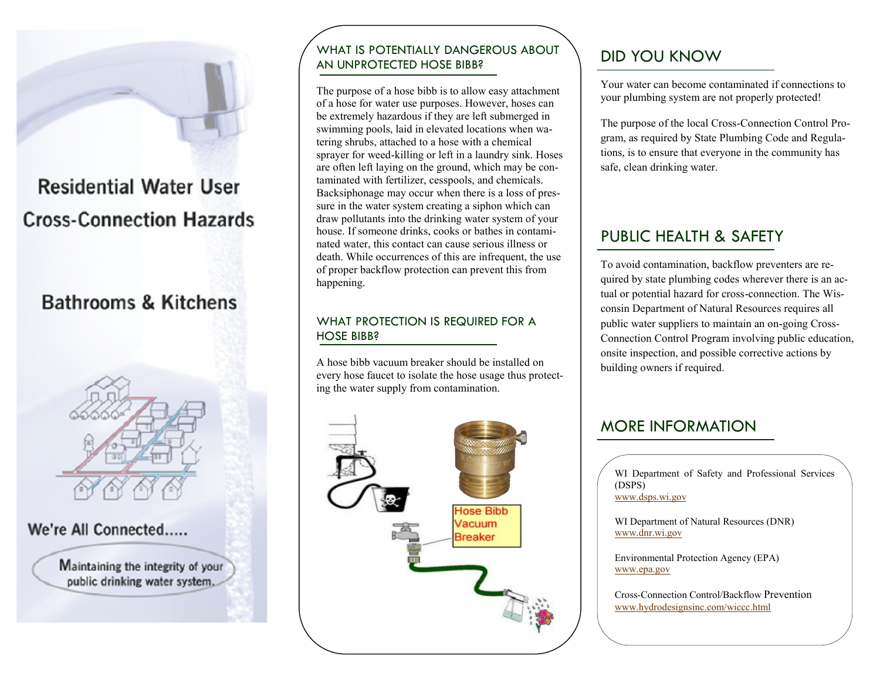

# **Residential Water User Cross-Connection Hazards**

# **Bathrooms & Kitchens**



We're All Connected.....

Maintaining the integrity of your public drinking water system.

### WHAT IS POTENTIALLY DANGEROUS ABOUT AN UNPROTECTED HOSE BIBB?

The purpose of a hose bibb is to allow easy attachment of a hose for water use purposes. However, hoses can be extremely hazardous if they are left submerged in swimming pools, laid in elevated locations when watering shrubs, attached to a hose with a chemical sprayer for weed-killing or left in a laundry sink. Hoses are often left laying on the ground, which may be contaminated with fertilizer, cesspools, and chemicals. Backsiphonage may occur when there is a loss of pressure in the water system creating a siphon which can draw pollutants into the drinking water system of your house. If someone drinks, cooks or bathes in contaminated water, this contact can cause serious illness or death. While occurrences of this are infrequent, the use of proper backflow protection can prevent this from happening.

#### WHAT PROTECTION IS REQUIRED FOR A HOSE BIBB?

A hose bibb vacuum breaker should be installed on every hose faucet to isolate the hose usage thus protecting the water supply from contamination.



# DID YOU KNOW

Your water can become contaminated if connections to your plumbing system are not properly protected!

The purpose of the local Cross-Connection Control Program, as required by State Plumbing Code and Regulations, is to ensure that everyone in the community has safe, clean drinking water.

# PUBLIC HEALTH & SAFETY

To avoid contamination, backflow preventers are required by state plumbing codes wherever there is an actual or potential hazard for cross-connection. The Wisconsin Department of Natural Resources requires all public water suppliers to maintain an on-going Cross-Connection Control Program involving public education, onsite inspection, and possible corrective actions by building owners if required.

## MORE INFORMATION

WI Department of Safety and Professional Services (DSPS) [www.dsps.wi.gov](http://www.dsps.wi.gov)

WI Department of Natural Resources (DNR) [www.dnr.wi.gov](http://www.dnr.wi.gov)

Environmental Protection Agency (EPA) [www.epa.gov](http://www.epa.gov)

Cross-Connection Control/Backflow Prevention [www.hydrodesignsinc.com/wiccc.html](http://www.hydrodesignsinc.com/wiccc.html)